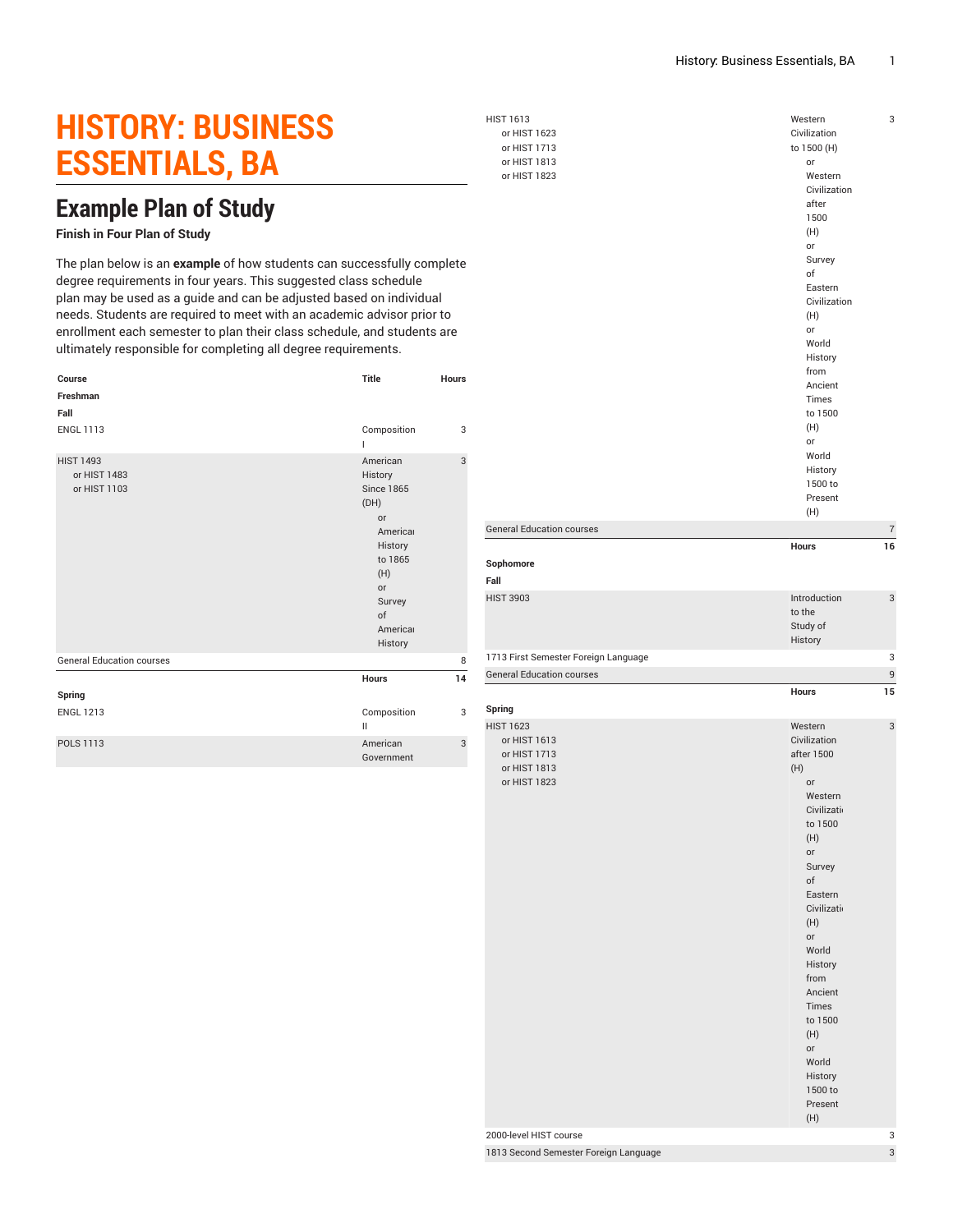## **HISTORY: BUSINESS ESSENTIALS, BA**

## **Example Plan of Study**

## **Finish in Four Plan of Study**

The plan below is an **example** of how students can successfully complete degree requirements in four years. This suggested class schedule plan may be used as a guide and can be adjusted based on individual needs. Students are required to meet with an academic advisor prior to enrollment each semester to plan their class schedule, and students are ultimately responsible for completing all degree requirements.

| Course                                           | <b>Title</b>                                                                                                                                 | <b>Hours</b> |
|--------------------------------------------------|----------------------------------------------------------------------------------------------------------------------------------------------|--------------|
| Freshman                                         |                                                                                                                                              |              |
| Fall                                             |                                                                                                                                              |              |
| <b>ENGL 1113</b>                                 | Composition                                                                                                                                  | 3            |
| <b>HIST 1493</b><br>or HIST 1483<br>or HIST 1103 | American<br>History<br><b>Since 1865</b><br>(DH)<br>or<br>Americal<br>History<br>to 1865<br>(H)<br>or<br>Survey<br>of<br>Americal<br>History | 3            |
| <b>General Education courses</b>                 |                                                                                                                                              | 8            |
|                                                  | <b>Hours</b>                                                                                                                                 | 14           |
| Spring                                           |                                                                                                                                              |              |
| <b>ENGL 1213</b>                                 | Composition<br>$\mathbf{H}$                                                                                                                  | 3            |
| POLS 1113                                        | American<br>Government                                                                                                                       | 3            |

HIST 1613 or HIST 1623 or HIST 1713 or HIST 1813

**Fall**

**Spring**

or HIST 1823 Western Civilization to 1500 (H) or Western Civilization after 1500 (H) or Survey of Eastern Civilization (H) or World History from Ancient Times to 1500 (H) or World History 1500 to Present (H) 3 General Education courses 7 **Hours 16 Sophomore** HIST 3903 Introduction to the Study of History 3 1713 First Semester Foreign Language 3 3 General Education courses 9 **Hours 15** HIST 1623 or HIST 1613 or HIST 1713 or HIST 1813 or HIST 1823 Western Civilization after 1500 (H) or Western Civilization to 1500 (H) or Survey of Eastern Civilizatio (H) or World History from Ancient Times to 1500 3

- (H) 2000-level HIST course 3 1813 Second Semester Foreign Language 3 3
- 

(H) or World History 1500 to Present